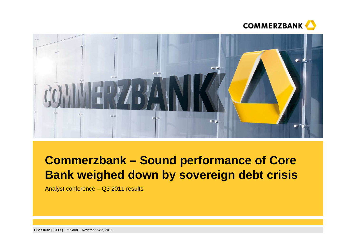



# **Commerzbank – Sound performance of Core Bank weighed down by sovereign debt crisis**

Analyst conference – Q3 2011 results

Eric Strutz CFO Frankfurt November 4th, 2011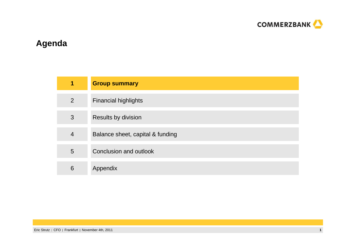

## **Agenda**

| 1              | <b>Group summary</b>             |
|----------------|----------------------------------|
| $\overline{2}$ | <b>Financial highlights</b>      |
| 3              | Results by division              |
| $\overline{4}$ | Balance sheet, capital & funding |
| 5              | Conclusion and outlook           |
| 6              | Appendix                         |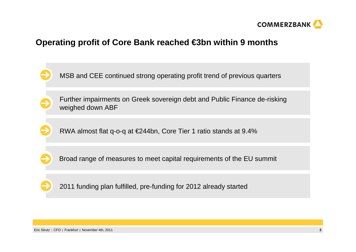

## **Operating profit of Core Bank reached €3bn within 9 months**

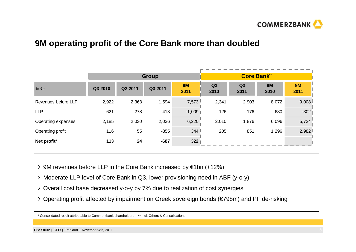

### **9M operating profit of the Core Bank more than doubled**

|                     | <b>Group</b> |         |         |                   | <b>Core Bank<sup>**</sup></b> |            |                   |                   |
|---------------------|--------------|---------|---------|-------------------|-------------------------------|------------|-------------------|-------------------|
| in $\epsilon$ m     | Q3 2010      | Q2 2011 | Q3 2011 | <b>9M</b><br>2011 | Q3<br>2010                    | Q3<br>2011 | <b>9M</b><br>2010 | <b>9M</b><br>2011 |
| Revenues before LLP | 2,922        | 2,363   | 1,594   | 7,573             | 2,341                         | 2,903      | 8,072             | 9,008             |
| <b>LLP</b>          | $-621$       | $-278$  | $-413$  | $-1,009$          | $-126$                        | $-176$     | $-680$            | $-302$            |
| Operating expenses  | 2,185        | 2,030   | 2,036   | 6,220             | 2,010                         | 1,876      | 6,096             | 5,724             |
| Operating profit    | 116          | 55      | $-855$  | 344               | 205                           | 851        | 1,296             | 2,982             |
| Net profit*         | 113          | 24      | $-687$  | 322               |                               |            |                   |                   |

- 9M revenues before LLP in the Core Bank increased by €1bn (+12%)
- Moderate LLP level of Core Bank in Q3, lower provisioning need in ABF (y-o-y)
- Overall cost base decreased y-o-y by 7% due to realization of cost synergies
- Operating profit affected by impairment on Greek sovereign bonds (€798m) and PF de-risking

<sup>\*</sup> Consolidated result attributable to Commerzbank shareholders \*\* incl. Others & Consolidations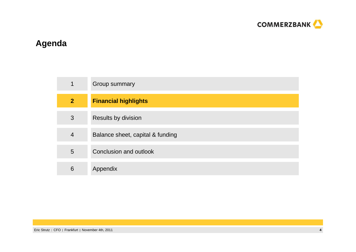

## **Agenda**

| $\mathbf 1$    | Group summary                    |
|----------------|----------------------------------|
| $\overline{2}$ | <b>Financial highlights</b>      |
| 3              | <b>Results by division</b>       |
| 4              | Balance sheet, capital & funding |
| 5              | Conclusion and outlook           |
| 6              | Appendix                         |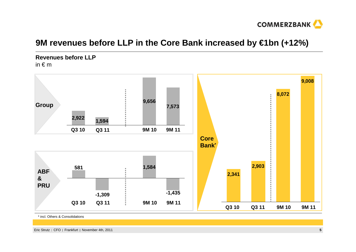

## **9M revenues before LLP in the Core Bank increased by €1bn (+12%)**

**Revenues before LLP**in  $\epsilon$  m



\* incl. Others & Consolidations

Eric Strutz CFO Frankfurt November 4th, 2011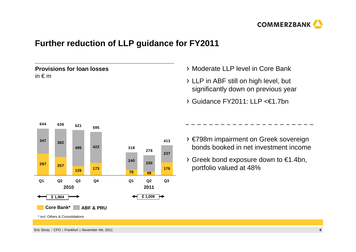

## **Further reduction of LLP guidance for FY2011**

**Provisions for loan losses** in € <sup>m</sup>



- LLP in ABF still on high level, but significantly down on previous year
- Guidance FY2011: LLP <€1.7bn



- €798m impairment on Greek sovereign bonds booked in net investment income
- $\rightarrow$  Greek bond exposure down to  $\epsilon$ 1.4bn, portfolio valued at 48%

Eric Strutz CFO Frankfurt November 4th, 2011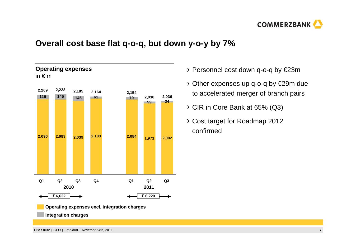

## **Overall cost base flat q-o-q, but down y-o-y by 7%**



- Personnel cost down q-o-q by €23m
- Other expenses up q-o-q by €29m due to accelerated merger of branch pairs
- CIR in Core Bank at 65% (Q3)
- Cost target for Roadmap 2012 confirmed

**Integration charges**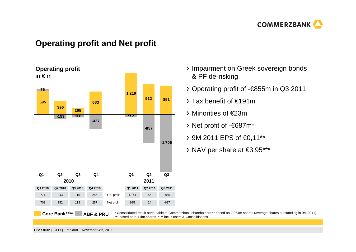

### **Operating profit and Net profit**



- > Impairment on Greek sovereign bonds & PF de-risking
- Operating profit of -€855m in Q3 2011
- Tax benefit of €191m
- Minorities of €23m
- Net profit of -€687m\*
- 9M 2011 EPS of €0,11\*\*
- NAV per share at €3.95\*\*\*

Eric Strutz CFO Frankfurt November 4th, 2011**<sup>8</sup>**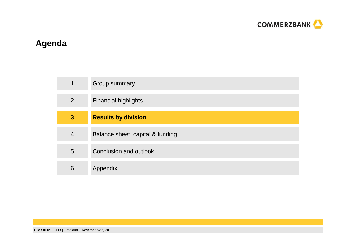

## **Agenda**

| 1              | Group summary                    |
|----------------|----------------------------------|
| $\overline{2}$ | <b>Financial highlights</b>      |
| $\mathbf{3}$   | <b>Results by division</b>       |
| $\overline{4}$ | Balance sheet, capital & funding |
| 5              | Conclusion and outlook           |
| 6              | Appendix                         |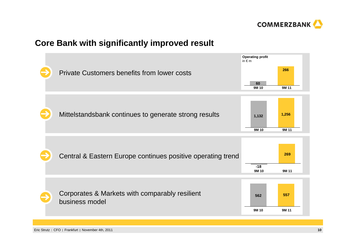

## **Core Bank with significantly improved result**



Eric Strutz CFO Frankfurt November 4th, 2011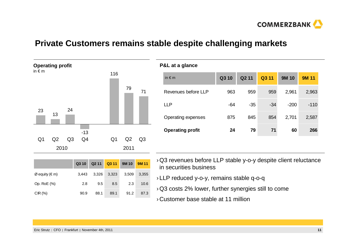

### **Private Customers remains stable despite challenging markets**

**P&L at a glance**



|                                 | Q3 10 | Q2 11 | Q3 11 | 9M 10 | <b>9M11</b> |
|---------------------------------|-------|-------|-------|-------|-------------|
| $\varnothing$ equity ( $\in$ m) | 3.443 | 3,326 | 3,323 | 3,509 | 3,355       |
| Op. RoE (%)                     | 2.8   | 9.5   | 8.5   | 2.3   | 10.6        |
| $CIR$ (%)                       | 90.9  | 88.1  | 89.1  | 91.2  | 87.3        |

| in $\notin$ m           | Q3 10 | Q <sub>2</sub> 11 | Q3 11 | <b>9M 10</b> | <b>9M 11</b> |
|-------------------------|-------|-------------------|-------|--------------|--------------|
| Revenues before LLP     | 963   | 959               | 959   | 2,961        | 2,963        |
| LLP                     | $-64$ | $-35$             | $-34$ | $-200$       | $-110$       |
| Operating expenses      | 875   | 845               | 854   | 2,701        | 2,587        |
| <b>Operating profit</b> | 24    | 79                | 71    | 60           | 266          |
|                         |       |                   |       |              |              |

- › Q3 revenues before LLP stable y-o-y despite client reluctance in securities business
- › LLP reduced y-o-y, remains stable q-o-q
- $\alpha$  Q3 costs 2% lower, further synergies still to come
- › Customer base stable at 11 million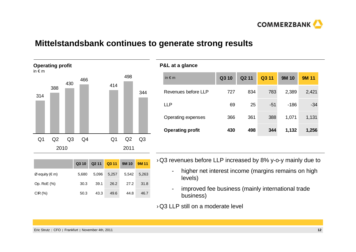

### **Mittelstandsbank continues to generate strong results**



| $1.9 = 91.9$ matrices   |       |                   |       |              |              |
|-------------------------|-------|-------------------|-------|--------------|--------------|
| in $\notin$ m           | Q3 10 | Q <sub>2</sub> 11 | Q3 11 | <b>9M 10</b> | <b>9M 11</b> |
| Revenues before LLP     | 727   | 834               | 783   | 2,389        | 2,421        |
| <b>LLP</b>              | 69    | 25                | $-51$ | $-186$       | $-34$        |
| Operating expenses      | 366   | 361               | 388   | 1,071        | 1,131        |
| <b>Operating profit</b> | 430   | 498               | 344   | 1,132        | 1,256        |
|                         |       |                   |       |              |              |

| $\rightarrow$ Q3 revenues before LLP increased by 8% y-o-y mainly due to |  |  |
|--------------------------------------------------------------------------|--|--|
|--------------------------------------------------------------------------|--|--|

- higher net interest income (margins remains on high levels)
- improved fee business (mainly international trade business)

 $\rightarrow$  Q3 LLP still on a moderate level

| $Ø$ equity (€ m) | 5.680 |      | 5.096 5.257 | 5.542 | 5,263 |
|------------------|-------|------|-------------|-------|-------|
| Op. RoE (%)      | 30.3  | 39.1 | 26.2        | 27.2  | 31.8  |
| CIR(%)           | 50.3  | 43.3 | 49.6        | 44.8  | 46.7  |

**Q3 10 Q2 11 Q3 11 9M 10 9M 11**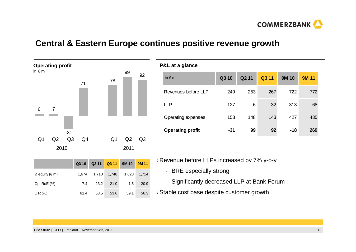

### **Central & Eastern Europe continues positive revenue growth**

**P&L at a glance**



|                  | Q3 10  | Q2 11 Q3 11 9M 10 |                 |        | <b>9M11</b> |
|------------------|--------|-------------------|-----------------|--------|-------------|
| $Ø$ equity (€ m) | 1.674  |                   | $1,710$ $1,748$ | 1,623  | 1,714       |
| Op. RoE (%)      | $-7.4$ | 23.2              | 21.0            | $-1.5$ | 20.9        |
| CIR $(%)$        | 61.4   | 58.5              | 53.6            | 59.1   | 56.3        |

| $1.9 - 0.09$            |       |       |       |              |              |  |  |
|-------------------------|-------|-------|-------|--------------|--------------|--|--|
| in $\notin$ m           | Q3 10 | Q2 11 | Q3 11 | <b>9M 10</b> | <b>9M 11</b> |  |  |
| Revenues before LLP     | 249   | 253   | 267   | 722          | 772          |  |  |
| <b>LLP</b>              | -127  | -6    | $-32$ | $-313$       | $-68$        |  |  |
| Operating expenses      | 153   | 148   | 143   | 427          | 435          |  |  |
| <b>Operating profit</b> | -31   | 99    | 92    | $-18$        | 269          |  |  |
|                         |       |       |       |              |              |  |  |

› Revenue before LLPs increased by 7% y-o-y

- BRE especially strong

- Significantly decreased LLP at Bank Forum
- $\rightarrow$  Stable cost base despite customer growth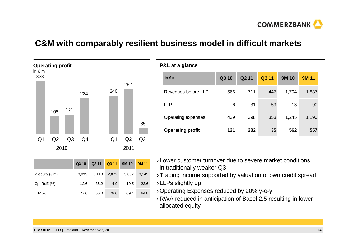

**COMMERZBANK** 

## **C&M with comparably resilient business model in difficult markets**

**P&L at a glance**



| in $\notin$ m           | Q3 10 | Q <sub>2</sub> 11 | Q3 11 | <b>9M 10</b> | <b>9M 11</b> |
|-------------------------|-------|-------------------|-------|--------------|--------------|
| Revenues before LLP     | 566   | 711               | 447   | 1,794        | 1,837        |
| <b>LLP</b>              | -6    | -31               | $-59$ | 13           | $-90$        |
| Operating expenses      | 439   | 398               | 353   | 1,245        | 1,190        |
| <b>Operating profit</b> | 121   | 282               | 35    | 562          | 557          |
|                         |       |                   |       |              |              |

|                  | Q3 10 | Q <sub>2</sub> 11 | Q3 11 | 9M 10 | <b>9M11</b> |
|------------------|-------|-------------------|-------|-------|-------------|
| $Ø$ equity (€ m) | 3.839 | 3,113             | 2,872 | 3,837 | 3,149       |
| Op. RoE (%)      | 12.6  | 36.2              | 4.9   | 19.5  | 23.6        |
| CIR(%)           | 77.6  | 56.0              | 79.0  | 69.4  | 64.8        |

- › Lower customer turnover due to severe market conditionsin traditionally weaker Q3
- $\rightarrow$  Trading income supported by valuation of own credit spread
- $\rightarrow$  LLPs slightly up
- › Operating Expenses reduced by 20% y-o-y
- › RWA reduced in anticipation of Basel 2.5 resulting in lower allocated equity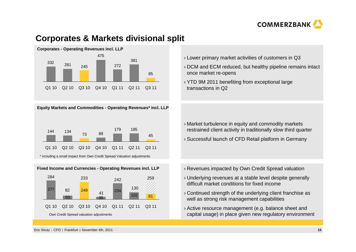

## **Corporates & Markets divisional split**



#### **Equity Markets and Commodities - Operating Revenues\* incl. LLP**





- $\scriptstyle\rm\prime$  Lower primary market activities of customers in Q3
- › DCM and ECM reduced, but healthy pipeline remains intact once market re-opens
- $\rightarrow$  YTD 9M 2011 benefiting from exceptional large transactions in Q2

- › Market turbulence in equity and commodity markets restrained client activity in traditionally slow third quarter
- $\rightarrow$  Successful launch of CFD Retail platform in Germany
- › Revenues impacted by Own Credit Spread valuation
- › Underlying revenues at a stable level despite generally difficult market conditions for fixed income
- $\alpha$  Continued strength of the underlying client franchise as well as strong risk management capabilities
- › Active resource management (e.g. balance sheet andcapital usage) in place given new regulatory environment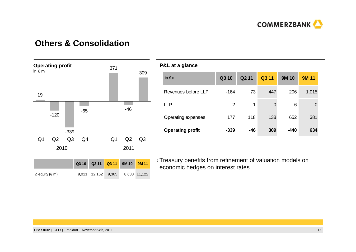## **Others & Consolidation**



#### **P&L at a glance**

| in $\notin$ m             | Q310   | Q <sub>2</sub> 11 | Q3 11 | <b>9M 10</b> | <b>9M 11</b> |
|---------------------------|--------|-------------------|-------|--------------|--------------|
| Revenues before LLP       | $-164$ | 73                | 447   | 206          | 1,015        |
| LLP                       | 2      | -1                | 0     | 6            | 0            |
| <b>Operating expenses</b> | 177    | 118               | 138   | 652          | 381          |
| <b>Operating profit</b>   | $-339$ | $-46$             | 309   | $-440$       | 634          |
|                           |        |                   |       |              |              |

› Treasury benefits from refinement of valuation models on economic hedges on interest rates

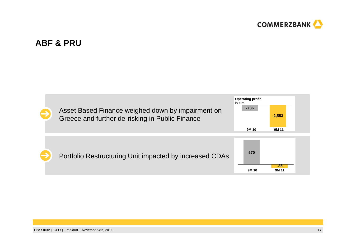

### **ABF & PRU**

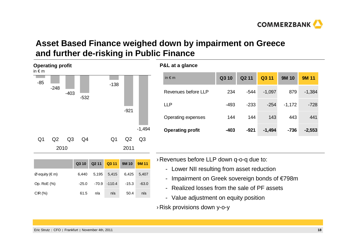

## **Asset Based Finance weighed down by impairment on Greece and further de-risking in Public Finance**

**P&L at a glance**



|                  | Q3 10   |         | Q2 11 Q3 11 9M 10 |         | <b>9M11</b> |
|------------------|---------|---------|-------------------|---------|-------------|
| $Ø$ equity (€ m) | 6.440   |         | 5,195 5,415       | 6,425   | 5.407       |
| Op. RoE (%)      | $-25.0$ | $-70.9$ | $-110.4$          | $-15.3$ | $-63.0$     |
| CIR(%)           | 61.5    | n/a     | n/a               | 50.4    | n/a         |

| in $\notin$ m           | Q3 10  | Q <sub>2</sub> 11 | Q3 11    | <b>9M 10</b> | <b>9M 11</b> |
|-------------------------|--------|-------------------|----------|--------------|--------------|
| Revenues before LLP     | 234    | -544              | $-1,097$ | 879          | $-1,384$     |
| <b>LLP</b>              | -493   | $-233$            | $-254$   | $-1,172$     | $-728$       |
| Operating expenses      | 144    | 144               | 143      | 443          | 441          |
| <b>Operating profit</b> | $-403$ | $-921$            | $-1,494$ | $-736$       | $-2,553$     |

› Revenues before LLP down q-o-q due to:

- Lower NII resulting from asset reduction
- Impairment on Greek sovereign bonds of €798m
- Realized losses from the sale of PF assets
- Value adjustment on equity position

› Risk provisions down y-o-y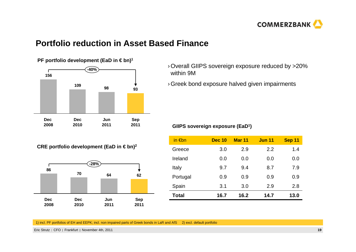

## **Portfolio reduction in Asset Based Finance**



**CRE portfolio development (EaD in € bn)<sup>2</sup>**



- › Overall GIIPS sovereign exposure reduced by >20% within 9M
- $\Theta$  Greek bond exposure halved given impairments

#### **GIIPS sovereign exposure (EaD<sup>1</sup>)**

| in $\notin$ bn | <b>Dec 10</b> | <b>Mar 11</b> | <b>Jun 11</b> | Sep 11 |
|----------------|---------------|---------------|---------------|--------|
| Greece         | 3.0           | 2.9           | 2.2           | 1.4    |
| Ireland        | 0.0           | 0.0           | 0.0           | 0.0    |
| Italy          | 9.7           | 9.4           | 8.7           | 7.9    |
| Portugal       | 0.9           | 0.9           | 0.9           | 0.9    |
| Spain          | 3.1           | 3.0           | 2.9           | 2.8    |
| Total          | 16.7          | 16.2          | 14.7          | 13.0   |

1) incl. PF portfolios of EH and EEPK; incl. non impaired parts of Greek bonds in LaR and AfS 2) excl. default portfolio

Eric Strutz CFO Frankfurt November 4th, 2011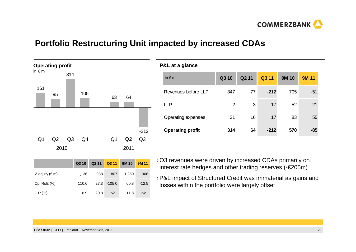

## **Portfolio Restructuring Unit impacted by increased CDAs**

**P&L at a glance**



|                  | Q3 10 | Q211 | Q3 11    | 9M 10 | <b>9M11</b> |
|------------------|-------|------|----------|-------|-------------|
| $Ø$ equity (€ m) | 1,136 | 938  | 807      | 1.250 | 906         |
| Op. RoE (%)      | 110.6 | 27.3 | $-105.0$ | 60.8  | $-12.5$     |
| CIR(%)           | 8.9   | 20.8 | n/a      | 11.8  | n/a         |

| ັ                       |       |       |        |              |              |
|-------------------------|-------|-------|--------|--------------|--------------|
| in $\notin$ m           | Q3 10 | Q2 11 | Q3 11  | <b>9M 10</b> | <b>9M 11</b> |
| Revenues before LLP     | 347   | 77    | $-212$ | 705          | $-51$        |
| <b>LLP</b>              | $-2$  | 3     | 17     | $-52$        | 21           |
| Operating expenses      | 31    | 16    | 17     | 83           | 55           |
| <b>Operating profit</b> | 314   | 64    | $-212$ | 570          | $-85$        |
|                         |       |       |        |              |              |

- › Q3 revenues were driven by increased CDAs primarily on interest rate hedges and other trading reserves (-€205m)
- › P&L impact of Structured Credit was immaterial as gains and losses within the portfolio were largely offset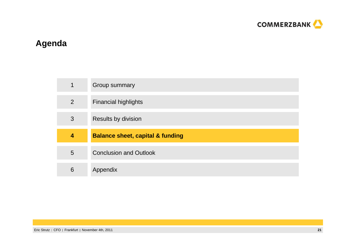

## **Agenda**

| $\mathbf 1$    | Group summary                               |
|----------------|---------------------------------------------|
| $\overline{2}$ | <b>Financial highlights</b>                 |
| 3              | Results by division                         |
|                |                                             |
| 4              | <b>Balance sheet, capital &amp; funding</b> |
| 5              | <b>Conclusion and Outlook</b>               |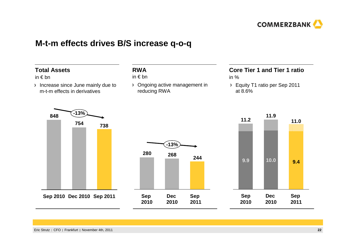

### **M-t-m effects drives B/S increase q-o-q**

#### **Total Assets**

#### in € bn

 Increase since June mainly due to m-t-m effects in derivatives

#### **RWA**

#### in € bn

> Ongoing active management in reducing RWA

#### **Core Tier 1 and Tier 1 ratio**

- in %
- Equity T1 ratio per Sep 2011 at 8.6%



**Sep 2010 Sep 2011Dec 2010**



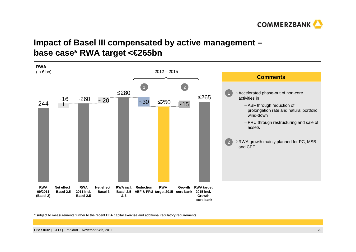

## **Impact of Basel III compensated by active management –base case\* RWA target <€265bn**



\* subject to measurements further to the recent EBA capital exercise and additional regulatory requirements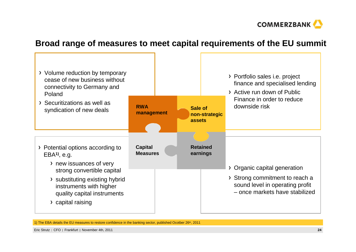

## **Broad range of measures to meet capital requirements of the EU summit**



1) The EBA details the EU measures to restore confidence in the banking sector, published Ocotber 26<sup>th</sup>, 2011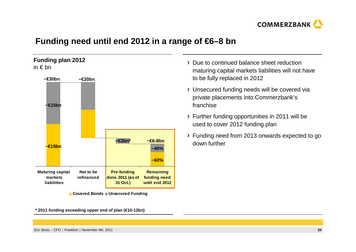

## **Funding need until end 2012 in a range of €6–8 bn**

**Funding plan 2012**in € bn



**Covered Bonds Unsecured Funding**

**\* 2011 funding exceeding upper end of plan (€10-12bn)**

- Due to continued balance sheet reduction maturing capital markets liabilities will not have to be fully replaced in 2012
- Unsecured funding needs will be covered via private placements into Commerzbank'sfranchise
- Further funding opportunities in 2011 will be used to cover 2012 funding plan
- Funding need from 2013 onwards expected to go down further

Eric Strutz CFO Frankfurt November 4th, 2011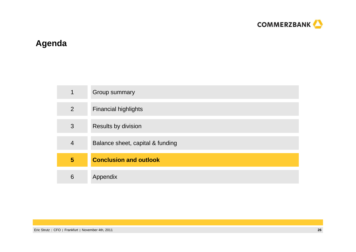

## **Agenda**

| 4 | Group summary                    |
|---|----------------------------------|
| 2 | <b>Financial highlights</b>      |
| 3 | Results by division              |
| 4 | Balance sheet, capital & funding |
| 5 | <b>Conclusion and outlook</b>    |
| 6 | Appendix                         |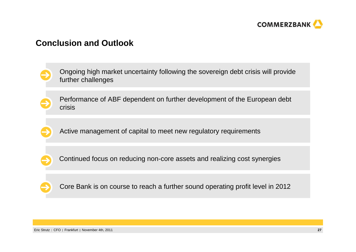

### **Conclusion and Outlook**

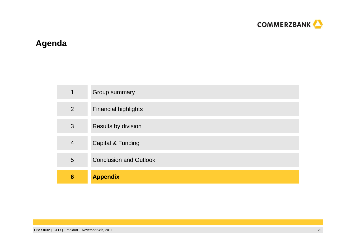

## **Agenda**

| 4               | Group summary                 |
|-----------------|-------------------------------|
| 2               | <b>Financial highlights</b>   |
| 3               | Results by division           |
| $\overline{4}$  | Capital & Funding             |
| 5               | <b>Conclusion and Outlook</b> |
| $6\phantom{1}6$ | <b>Appendix</b>               |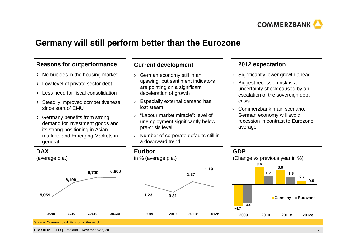

### **Germany will still perform better than the Eurozone**

#### **Reasons for outperformance**

- $\rightarrow$  No bubbles in the housing market
- $\rightarrow$  Low level of private sector debt
- Less need for fiscal consolidation
- Steadily improved competitiveness since start of EMU
- Germany benefits from strong demand for investment goods and its strong positioning in Asian markets and Emerging Markets in general

#### **Current development**

- › German economy still in an upswing, but sentiment indicators are pointing on a significant deceleration of growth
- › Especially external demand has lost steam
- "Labour market miracle": level of ›unemployment significantly below pre-crisis level
- › Number of corporate defaults still in a downward trend

#### **2012 expectation**

- ›Significantly lower growth ahead
- › Biggest recession risk is a uncertainty shock caused by an escalation of the sovereign debt crisis
- › Commerzbank main scenario: German economy will avoid recession in contrast to Eurozoneaverage

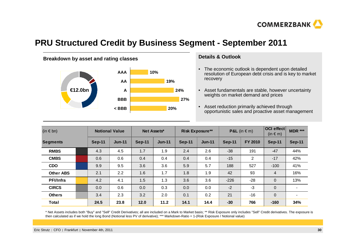

## **PRU Structured Credit by Business Segment - September 2011**



#### **Details & Outlook**

- The economic outlook is dependent upon detailed resolution of European debt crisis and is key to market recovery
- Asset fundamentals are stable, however uncertaintyweights on market demand and prices
- Asset reduction primarily achieved through opportunistic sales and proactive asset management **< BBB 20%**

| $(in \in bn)$    |  | <b>Notional Value</b> |               | Net Assets* |          | <b>Risk Exposure**</b> |          | <b>P&amp;L</b> (in $\in$ m) |         | OCI effect<br>(in $\in$ m) | <b>MDR ***</b>           |
|------------------|--|-----------------------|---------------|-------------|----------|------------------------|----------|-----------------------------|---------|----------------------------|--------------------------|
| <b>Segments</b>  |  | Sep-11                | <b>Jun-11</b> | Sep-11      | $Jun-11$ | Sep-11                 | $Jun-11$ | Sep-11                      | FY 2010 | <b>Sep-11</b>              | <b>Sep-11</b>            |
| <b>RMBS</b>      |  | 4.3                   | 4.5           | 1.7         | 1.9      | 2.4                    | 2.6      | $-38$                       | 191     | $-47$                      | 44%                      |
| <b>CMBS</b>      |  | 0.6                   | 0.6           | 0.4         | 0.4      | 0.4                    | 0.4      | $-15$                       | 2       | $-17$                      | 42%                      |
| <b>CDO</b>       |  | 9.9                   | 9.5           | 3.6         | 3.6      | 5.9                    | 5.7      | 188                         | 527     | $-100$                     | 41%                      |
| <b>Other ABS</b> |  | 2.1                   | 2.2           | 1.6         | 1.7      | 1.8                    | 1.9      | 42                          | 93      | $\overline{4}$             | 16%                      |
| <b>PFI/Infra</b> |  | 4.2                   | 4.1           | 1.5         | 1.3      | 3.6                    | 3.6      | $-226$                      | $-28$   | $\mathbf 0$                | 13%                      |
| <b>CIRCS</b>     |  | 0.0                   | 0.6           | 0.0         | 0.3      | 0.0                    | 0.0      | $-2$                        | $-3$    | $\mathbf{0}$               | $\overline{\phantom{a}}$ |
| <b>Others</b>    |  | 3.4                   | 2.3           | 3.2         | 2.0      | 0.1                    | 0.2      | 21                          | $-16$   | $\Omega$                   | $\overline{\phantom{0}}$ |
| <b>Total</b>     |  | 24.5                  | 23.8          | 12.0        | 11.2     | 14.1                   | 14.4     | $-30$                       | 766     | $-160$                     | 34%                      |

\* Net Assets includes both "Buy" and "Sell" Credit Derivatives; all are included on a Mark to Market basis; \*\* Risk Exposure only includes "Sell" Credit derivatives. The exposure is then calculated as if we hold the long Bond (Notional less PV of derivative); \*\*\* Markdown-Ratio = 1-(Risk Exposure / Notional value)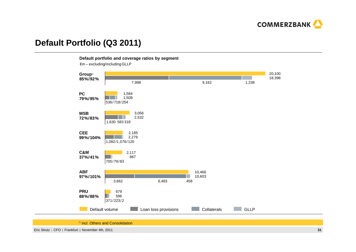

## **Default Portfolio (Q3 2011)**

#### **Default portfolio and coverage ratios by segment**

 $\epsilon$ m – excluding/including GLLP



<sup>1</sup> incl. Others and Consolidation

Eric Strutz CFO Frankfurt November 4th, 2011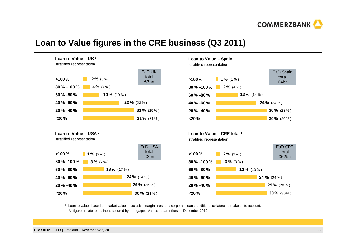

### **Loan to Value figures in the CRE business (Q3 2011)**







1 Loan to values based on market values; exclusive margin lines and corporate loans; additional collateral not taken into account. All figures relate to business secured by mortgages. Values in parentheses: December 2010.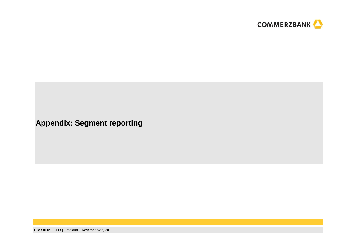

**Appendix: Segment reporting**

Eric Strutz CFO Frankfurt November 4th, 2011**<sup>33</sup>**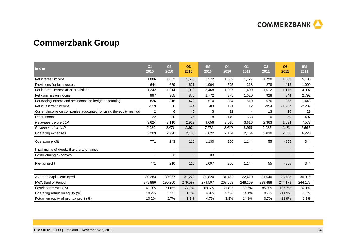

## **Commerzbank Group**

| in $\epsilon$ m                                                   | Q <sub>1</sub><br>2010 | Q2<br>2010 | Q3<br>2010               | <b>9M</b><br>2010 | Q <sub>4</sub><br>2010 | Q <sub>1</sub><br>2011 | Q2<br>2011     | Q3<br>2011               | 9M<br>2011 |
|-------------------------------------------------------------------|------------------------|------------|--------------------------|-------------------|------------------------|------------------------|----------------|--------------------------|------------|
| Net interest income                                               | 1,886                  | 1,853      | 1,633                    | 5,372             | 1,682                  | 1,727                  | 1,790          | 1,589                    | 5,106      |
| Provisions for loan losses                                        | $-644$                 | $-639$     | $-621$                   | $-1,904$          | $-595$                 | $-318$                 | $-278$         | $-413$                   | $-1,009$   |
| Net interest income after provisions                              | 1,242                  | 1,214      | 1,012                    | 3,468             | 1,087                  | 1,409                  | 1,512          | 1,176                    | 4,097      |
| Net commission income                                             | 997                    | 905        | 870                      | 2,772             | 875                    | 1,020                  | 928            | 844                      | 2,792      |
| Net trading income and net income on hedge accounting             | 836                    | 316        | 422                      | 1,574             | 384                    | 519                    | 576            | 353                      | 1,448      |
| Net investment income                                             | $-119$                 | 60         | $-24$                    | $-83$             | 191                    | 12                     | $-954$         | $-1,267$                 | $-2,209$   |
| Current income on companies accounted for using the equity method | 2                      | 6          | $-5$                     | 3                 | 32                     |                        | 13             | 16                       | 29         |
| Other income                                                      | 22                     | $-30$      | 26                       | 18                | $-149$                 | 338                    | 10             | 59                       | 407        |
| Revenues before LLP                                               | 3,624                  | 3,110      | 2,922                    | 9,656             | 3,015                  | 3,616                  | 2,363          | 1,594                    | 7,573      |
| Revenues after LLP                                                | 2,980                  | 2,471      | 2,301                    | 7,752             | 2,420                  | 3,298                  | 2,085          | 1,181                    | 6.564      |
| Operating expenses                                                | 2,209                  | 2,228      | 2,185                    | 6,622             | 2,164                  | 2,154                  | 2,030          | 2,036                    | 6,220      |
| Operating profit                                                  | 771                    | 243        | 116                      | 1,130             | 256                    | 1,144                  | 55             | $-855$                   | 344        |
| Impairments of goodwill and brand names                           |                        |            | $\blacksquare$           |                   | $\blacksquare$         |                        | $\blacksquare$ | $\overline{\phantom{a}}$ |            |
| Restructuring expenses                                            |                        | 33         | $\overline{\phantom{a}}$ | 33                |                        |                        |                | $\overline{\phantom{a}}$ |            |
| Pre-tax profit                                                    | 771                    | 210        | 116                      | 1,097             | 256                    | 1,144                  | 55             | $-855$                   | 344        |
| Average capital employed                                          | 30,283                 | 30,967     | 31,222                   | 30,824            | 31,452                 | 32,420                 | 31,540         | 28,788                   | 30,916     |
| RWA (End of Period)                                               | 278,886                | 290,200    | 279,597                  | 279,597           | 267,509                | 248,269                | 239,488        | 244,178                  | 244,178    |
| Cost/income ratio (%)                                             | 61.0%                  | 71.6%      | 74.8%                    | 68.6%             | 71.8%                  | 59.6%                  | 85.9%          | 127.7%                   | 82.1%      |
| Operating return on equity (%)                                    | 10.2%                  | 3.1%       | 1.5%                     | 4.9%              | 3.3%                   | 14.1%                  | 0.7%           | $-11.9%$                 | 1.5%       |
| Return on equity of pre-tax profit (%)                            | 10.2%                  | 2.7%       | 1.5%                     | 4.7%              | 3.3%                   | 14.1%                  | 0.7%           | $-11.9%$                 | 1.5%       |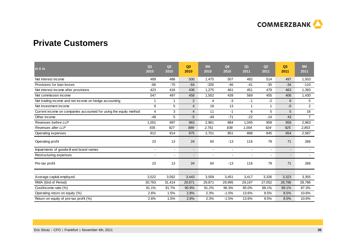

## **Private Customers**

| $\mathsf{in} \in \mathsf{m}$                                      | Q <sub>1</sub><br>2010 | Q2<br>2010 | Q3<br>2010     | <b>9M</b><br>2010        | Q <sub>4</sub><br>2010   | Q <sub>1</sub><br>2011 | Q2<br>2011               | Q3<br>2011               | 9M<br>2011     |
|-------------------------------------------------------------------|------------------------|------------|----------------|--------------------------|--------------------------|------------------------|--------------------------|--------------------------|----------------|
| Net interest income                                               | 489                    | 486        | 500            | 1,475                    | 507                      | 492                    | 514                      | 497                      | 1,503          |
| Provisions for loan losses                                        | $-66$                  | $-70$      | $-64$          | $-200$                   | $-46$                    | $-41$                  | $-35$                    | $-34$                    | $-110$         |
| Net interest income after provisions                              | 423                    | 416        | 436            | 1,275                    | 461                      | 451                    | 479                      | 463                      | 1,393          |
| Net commission income                                             | 547                    | 497        | 458            | 1,502                    | 439                      | 569                    | 455                      | 406                      | 1,430          |
| Net trading income and net income on hedge accounting             | 1                      | 1          | 2              | $\overline{4}$           | $-3$                     | $-1$                   | $-2$                     | 8                        | 5              |
| Net investment income                                             | 9                      | 5          | $\overline{4}$ | 18                       | 13                       |                        |                          | $-0$                     | $\overline{2}$ |
| Current income on companies accounted for using the equity method | $\overline{4}$         | 3          | $\overline{4}$ | 11                       | $-1$                     | 6                      | 5                        | 5                        | 16             |
| Other income                                                      | $-49$                  | 5          | $-5$           | $-49$                    | $-71$                    | $-22$                  | $-14$                    | 43                       | $\overline{7}$ |
| Revenues before LLP                                               | 1,001                  | 997        | 963            | 2,961                    | 884                      | 1,045                  | 959                      | 959                      | 2,963          |
| Revenues after LLP                                                | 935                    | 927        | 899            | 2,761                    | 838                      | 1,004                  | 924                      | 925                      | 2,853          |
| Operating expenses                                                | 912                    | 914        | 875            | 2,701                    | 851                      | 888                    | 845                      | 854                      | 2,587          |
| Operating profit                                                  | 23                     | 13         | 24             | 60                       | $-13$                    | 116                    | 79                       | 71                       | 266            |
| Impairments of goodwill and brand names                           |                        | ۰          | $\blacksquare$ | $\overline{\phantom{a}}$ | $\sim$                   | $\blacksquare$         | $\overline{\phantom{a}}$ | $\overline{\phantom{a}}$ |                |
| Restructuring expenses                                            |                        |            |                |                          | $\overline{\phantom{a}}$ |                        |                          | $\overline{\phantom{a}}$ |                |
| Pre-tax profit                                                    | 23                     | 13         | 24             | 60                       | $-13$                    | 116                    | 79                       | 71                       | 266            |
| Average capital employed                                          | 3,522                  | 3,562      | 3,443          | 3,509                    | 3,451                    | 3,417                  | 3,326                    | 3,323                    | 3,355          |
| RWA (End of Period)                                               | 30,763                 | 31,414     | 29,871         | 29,871                   | 29,995                   | 29,197                 | 27,052                   | 28,786                   | 28,786         |
| Cost/income ratio (%)                                             | 91.1%                  | 91.7%      | 90.9%          | 91.2%                    | 96.3%                    | 85.0%                  | 88.1%                    | 89.1%                    | 87.3%          |
| Operating return on equity (%)                                    | 2.6%                   | 1.5%       | 2.8%           | 2.3%                     | $-1.5%$                  | 13.6%                  | 9.5%                     | 8.5%                     | 10.6%          |
| Return on equity of pre-tax profit (%)                            | 2.6%                   | 1.5%       | 2.8%           | 2.3%                     | $-1.5%$                  | 13.6%                  | 9.5%                     | 8.5%                     | 10.6%          |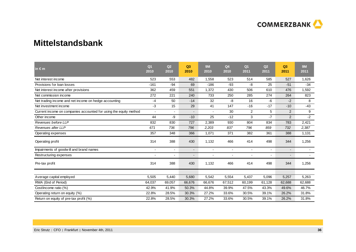

## **Mittelstandsbank**

| in $\epsilon$ m                                                   | Q <sub>1</sub><br>2010 | Q2<br>2010     | Q3<br>2010     | <b>9M</b><br>2010 | Q <sub>4</sub><br>2010 | Q <sub>1</sub><br>2011 | Q2<br>2011               | Q <sub>3</sub><br>2011   | 9M<br>2011 |
|-------------------------------------------------------------------|------------------------|----------------|----------------|-------------------|------------------------|------------------------|--------------------------|--------------------------|------------|
| Net interest income                                               | 523                    | 553            | 482            | 1,558             | 523                    | 514                    | 585                      | 527                      | 1,626      |
| Provisions for loan losses                                        | $-161$                 | $-94$          | 69             | $-186$            | $-93$                  | -8                     | 25                       | $-51$                    | $-34$      |
| Net interest income after provisions                              | 362                    | 459            | 551            | 1,372             | 430                    | 506                    | 610                      | 476                      | 1,592      |
| Net commission income                                             | 272                    | 221            | 240            | 733               | 250                    | 285                    | 274                      | 264                      | 823        |
| Net trading income and net income on hedge accounting             | $-4$                   | 50             | $-14$          | 32                | $-8$                   | 16                     | $-6$                     | $-2$                     | 8          |
| Net investment income                                             | $-3$                   | 15             | 29             | 41                | 147                    | $-16$                  | $-17$                    | $-10$                    | $-43$      |
| Current income on companies accounted for using the equity method | $\blacksquare$         | $\overline{a}$ | $\overline{a}$ |                   | 30                     | $\overline{2}$         | 5                        | $\overline{2}$           | 9          |
| Other income                                                      | 44                     | -9             | $-10$          | 25                | $-12$                  | 3                      | $-7$                     | $\overline{2}$           | $-2$       |
| Revenues before LLP                                               | 832                    | 830            | 727            | 2,389             | 930                    | 804                    | 834                      | 783                      | 2,421      |
| Revenues after LLP                                                | 671                    | 736            | 796            | 2,203             | 837                    | 796                    | 859                      | 732                      | 2,387      |
| Operating expenses                                                | 357                    | 348            | 366            | 1,071             | 371                    | 382                    | 361                      | 388                      | 1,131      |
| Operating profit                                                  | 314                    | 388            | 430            | 1,132             | 466                    | 414                    | 498                      | 344                      | 1,256      |
| Impairments of goodwill and brand names                           |                        |                | $\blacksquare$ |                   | $\blacksquare$         | $\blacksquare$         | $\overline{\phantom{a}}$ | $\overline{\phantom{a}}$ |            |
| Restructuring expenses                                            |                        |                |                |                   |                        |                        |                          | $\overline{\phantom{a}}$ |            |
| Pre-tax profit                                                    | 314                    | 388            | 430            | 1,132             | 466                    | 414                    | 498                      | 344                      | 1,256      |
| Average capital employed                                          | 5,505                  | 5,440          | 5,680          | 5,542             | 5,554                  | 5,437                  | 5,096                    | 5,257                    | 5,263      |
| RWA (End of Period)                                               | 64,037                 | 69,057         | 66,676         | 66,676            | 67,512                 | 60,199                 | 61,128                   | 62,688                   | 62,688     |
| Cost/income ratio (%)                                             | 42.9%                  | 41.9%          | 50.3%          | 44.8%             | 39.9%                  | 47.5%                  | 43.3%                    | 49.6%                    | 46.7%      |
| Operating return on equity (%)                                    | 22.8%                  | 28.5%          | 30.3%          | 27.2%             | 33.6%                  | 30.5%                  | 39.1%                    | 26.2%                    | 31.8%      |
| Return on equity of pre-tax profit (%)                            | 22.8%                  | 28.5%          | 30.3%          | 27.2%             | 33.6%                  | 30.5%                  | 39.1%                    | 26.2%                    | 31.8%      |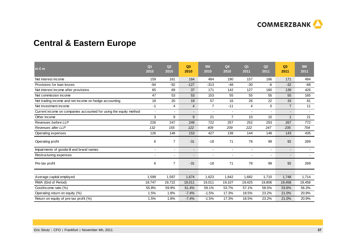

## **Central & Eastern Europe**

| $\mathsf{in} \in \mathsf{m}$                                      | Q <sub>1</sub><br>2010 | Q2<br>2010     | Q3<br>2010     | <b>9M</b><br>2010 | Q <sub>4</sub><br>2010 | Q <sub>1</sub><br>2011 | Q2<br>2011               | Q <sub>3</sub><br>2011   | 9M<br>2011 |
|-------------------------------------------------------------------|------------------------|----------------|----------------|-------------------|------------------------|------------------------|--------------------------|--------------------------|------------|
| Net interest income                                               | 159                    | 161            | 164            | 484               | 190                    | 157                    | 166                      | 171                      | 494        |
| Provisions for loan losses                                        | $-94$                  | $-92$          | $-127$         | $-313$            | $-48$                  | $-30$                  | -6                       | $-32$                    | $-68$      |
| Net interest income after provisions                              | 65                     | 69             | 37             | 171               | 142                    | 127                    | 160                      | 139                      | 426        |
| Net commission income                                             | 47                     | 53             | 53             | 153               | 55                     | 55                     | 55                       | 55                       | 165        |
| Net trading income and net income on hedge accounting             | 18                     | 20             | 19             | 57                | 16                     | 26                     | 22                       | 33                       | 81         |
| Net investment income                                             | $-1$                   | 4              | $\overline{4}$ | $\overline{7}$    | $-11$                  | 4                      | 0                        | $\overline{7}$           | 11         |
| Current income on companies accounted for using the equity method | $\blacksquare$         | ÷,             | $\blacksquare$ | $\sim$            | $\sim$                 | ٠                      | $\overline{\phantom{a}}$ | $\overline{a}$           | $\sim$     |
| Other income                                                      | 3                      | 9              | 9              | 21                | $\overline{7}$         | 10                     | 10                       | $\mathbf{1}$             | 21         |
| Revenues before LLP                                               | 226                    | 247            | 249            | 722               | 257                    | 252                    | 253                      | 267                      | 772        |
| Revenues after LLP                                                | 132                    | 155            | 122            | 409               | 209                    | 222                    | 247                      | 235                      | 704        |
| Operating expenses                                                | 126                    | 148            | 153            | 427               | 138                    | 144                    | 148                      | 143                      | 435        |
| Operating profit                                                  | 6                      | $\overline{7}$ | $-31$          | $-18$             | 71                     | 78                     | 99                       | 92                       | 269        |
| Impairments of goodwill and brand names                           |                        | ۰              | $\blacksquare$ | $\blacksquare$    | $\blacksquare$         | ٠                      | $\overline{\phantom{a}}$ | $\overline{\phantom{a}}$ |            |
| Restructuring expenses                                            |                        | ۰              | ٠              |                   |                        |                        |                          | $\overline{\phantom{a}}$ |            |
| Pre-tax profit                                                    | 6                      | $\overline{7}$ | $-31$          | $-18$             | 71                     | 78                     | 99                       | 92                       | 269        |
| Average capital employed                                          | 1,599                  | 1,597          | 1,674          | 1,623             | 1,642                  | 1,682                  | 1,710                    | 1,748                    | 1,714      |
| RWA (End of Period)                                               | 18,747                 | 19,722         | 19,011         | 19,011            | 19,107                 | 19,425                 | 19,806                   | 19,458                   | 19,458     |
| Cost/income ratio (%)                                             | 55.8%                  | 59.9%          | 61.4%          | 59.1%             | 53.7%                  | 57.1%                  | 58.5%                    | 53.6%                    | 56.3%      |
| Operating return on equity (%)                                    | 1.5%                   | 1.8%           | $-7.4%$        | $-1.5%$           | 17.3%                  | 18.5%                  | 23.2%                    | 21.0%                    | 20.9%      |
| Return on equity of pre-tax profit (%)                            | 1.5%                   | 1.8%           | $-7.4%$        | $-1.5%$           | 17.3%                  | 18.5%                  | 23.2%                    | 21.0%                    | 20.9%      |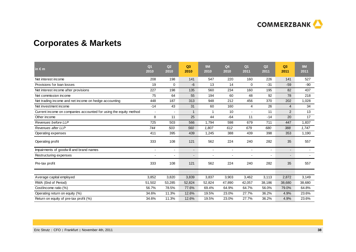

## **Corporates & Markets**

| in $\epsilon$ m                                                   | Q <sub>1</sub><br>2010   | Q2<br>2010 | Q3<br>2010     | <b>9M</b><br>2010 | Q <sub>4</sub><br>2010   | Q <sub>1</sub><br>2011 | Q2<br>2011     | Q <sub>3</sub><br>2011 | <b>9M</b><br>2011 |
|-------------------------------------------------------------------|--------------------------|------------|----------------|-------------------|--------------------------|------------------------|----------------|------------------------|-------------------|
| Net interest income                                               | 208                      | 198        | 141            | 547               | 220                      | 160                    | 226            | 141                    | 527               |
| Provisions for loan losses                                        | 19                       | 0          | $-6$           | 13                | 14                       | $\Omega$               | $-31$          | $-59$                  | $-90$             |
| Net interest income after provisions                              | 227                      | 198        | 135            | 560               | 234                      | 160                    | 195            | 82                     | 437               |
| Net commission income                                             | 75                       | 64         | 55             | 194               | 60                       | 48                     | 92             | 78                     | 218               |
| Net trading income and net income on hedge accounting             | 448                      | 187        | 313            | 948               | 212                      | 456                    | 370            | 202                    | 1,028             |
| Net investment income                                             | $-14$                    | 43         | 31             | 60                | 160                      | 4                      | 26             | 4                      | 34                |
| Current income on companies accounted for using the equity method | $\overline{\phantom{a}}$ |            | $\mathbf{1}$   | $\mathbf{1}$      | 10                       |                        | 11             | $\overline{2}$         | 13                |
| Other income                                                      | 8                        | 11         | 25             | 44                | $-64$                    | 11                     | $-14$          | 20                     | 17                |
| Revenues before LLP                                               | 725                      | 503        | 566            | 1,794             | 598                      | 679                    | 711            | 447                    | 1,837             |
| Revenues after LLP                                                | 744                      | 503        | 560            | 1,807             | 612                      | 679                    | 680            | 388                    | 1,747             |
| Operating expenses                                                | 411                      | 395        | 439            | 1,245             | 388                      | 439                    | 398            | 353                    | 1,190             |
| Operating profit                                                  | 333                      | 108        | 121            | 562               | 224                      | 240                    | 282            | 35                     | 557               |
| Impairments of goodwill and brand names                           | $\overline{a}$           |            | $\blacksquare$ |                   | $\overline{\phantom{a}}$ |                        | $\blacksquare$ | $\blacksquare$         |                   |
| Restructuring expenses                                            |                          |            | $\overline{a}$ |                   |                          |                        |                | $\blacksquare$         |                   |
| Pre-tax profit                                                    | 333                      | 108        | 121            | 562               | 224                      | 240                    | 282            | 35                     | 557               |
| Average capital employed                                          | 3,852                    | 3,820      | 3,839          | 3,837             | 3,903                    | 3,462                  | 3,113          | 2,872                  | 3,149             |
| RWA (End of Period)                                               | 51,502                   | 53,285     | 52,824         | 52,824            | 47,890                   | 42,057                 | 38,186         | 38,680                 | 38,680            |
| Cost/income ratio (%)                                             | 56.7%                    | 78.5%      | 77.6%          | 69.4%             | 64.9%                    | 64.7%                  | 56.0%          | 79.0%                  | 64.8%             |
| Operating return on equity (%)                                    | 34.6%                    | 11.3%      | 12.6%          | 19.5%             | 23.0%                    | 27.7%                  | 36.2%          | 4.9%                   | 23.6%             |
| Return on equity of pre-tax profit (%)                            | 34.6%                    | 11.3%      | 12.6%          | 19.5%             | 23.0%                    | 27.7%                  | 36.2%          | 4.9%                   | 23.6%             |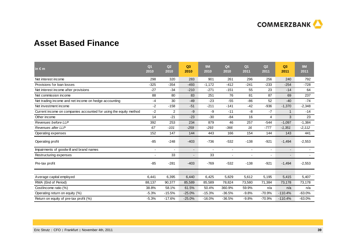

## **Asset Based Finance**

| in $\epsilon$ m                                                   | Q <sub>1</sub><br>2010 | Q <sub>2</sub><br>2010 | Q3<br>2010     | <b>9M</b><br>2010        | Q <sub>4</sub><br>2010   | Q <sub>1</sub><br>2011 | Q2<br>2011               | Q <sub>3</sub><br>2011   | 9M<br>2011 |
|-------------------------------------------------------------------|------------------------|------------------------|----------------|--------------------------|--------------------------|------------------------|--------------------------|--------------------------|------------|
| Net interest income                                               | 298                    | 320                    | 283            | 901                      | 261                      | 296                    | 256                      | 240                      | 792        |
| Provisions for loan losses                                        | $-325$                 | $-354$                 | $-493$         | $-1,172$                 | $-412$                   | $-241$                 | $-233$                   | $-254$                   | $-728$     |
| Net interest income after provisions                              | $-27$                  | $-34$                  | $-210$         | $-271$                   | $-151$                   | 55                     | 23                       | $-14$                    | 64         |
| Net commission income                                             | 88                     | 80                     | 83             | 251                      | 76                       | 81                     | 87                       | 69                       | 237        |
| Net trading income and net income on hedge accounting             | $-4$                   | 30                     | $-49$          | $-23$                    | $-55$                    | $-86$                  | 52                       | $-40$                    | $-74$      |
| Net investment income                                             | $-2$                   | $-158$                 | $-51$          | $-211$                   | $-141$                   | $-42$                  | $-936$                   | $-1,370$                 | $-2,348$   |
| Current income on companies accounted for using the equity method | $-2$                   | 2                      | $-9$           | -9                       | $-11$                    | -8                     | $-7$                     | $\mathbf 1$              | $-14$      |
| Other income                                                      | 14                     | $-21$                  | $-23$          | $-30$                    | $-84$                    | 16                     | 4                        | 3                        | 23         |
| Revenues before LLP                                               | 392                    | 253                    | 234            | 879                      | 46                       | 257                    | $-544$                   | $-1,097$                 | $-1,384$   |
| Revenues after LLP                                                | 67                     | $-101$                 | $-259$         | $-293$                   | $-366$                   | 16                     | $-777$                   | $-1,351$                 | $-2,112$   |
| Operating expenses                                                | 152                    | 147                    | 144            | 443                      | 166                      | 154                    | 144                      | 143                      | 441        |
| Operating profit                                                  | $-85$                  | $-248$                 | $-403$         | $-736$                   | $-532$                   | $-138$                 | $-921$                   | $-1,494$                 | $-2,553$   |
| Impairments of goodwill and brand names                           |                        |                        | $\blacksquare$ | $\overline{\phantom{a}}$ | $\overline{\phantom{a}}$ | $\blacksquare$         | $\overline{\phantom{a}}$ | $\overline{\phantom{a}}$ |            |
| Restructuring expenses                                            |                        | 33                     |                | 33                       |                          |                        |                          | $\overline{\phantom{a}}$ |            |
| Pre-tax profit                                                    | $-85$                  | $-281$                 | $-403$         | $-769$                   | $-532$                   | $-138$                 | $-921$                   | $-1,494$                 | $-2,553$   |
| Average capital employed                                          | 6,441                  | 6,395                  | 6,440          | 6,425                    | 5,829                    | 5,612                  | 5,195                    | 5,415                    | 5,407      |
| RWA (End of Period)                                               | 88,137                 | 90,377                 | 85,589         | 85,589                   | 78,824                   | 73,580                 | 71,384                   | 73,178                   | 73,178     |
| Cost/income ratio (%)                                             | 38.8%                  | 58.1%                  | 61.5%          | 50.4%                    | 360.9%                   | 59.9%                  | n/a                      | n/a                      | n/a        |
| Operating return on equity (%)                                    | $-5.3%$                | $-15.5%$               | $-25.0%$       | $-15.3%$                 | $-36.5%$                 | $-9.8%$                | $-70.9%$                 | $-110.4%$                | $-63.0%$   |
| Return on equity of pre-tax profit (%)                            | $-5.3%$                | $-17.6%$               | $-25.0%$       | $-16.0%$                 | $-36.5%$                 | $-9.8%$                | $-70.9%$                 | $-110.4%$                | $-63.0%$   |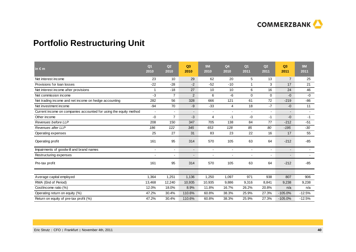**COMMERZBANK** 

## **Portfolio Restructuring Unit**

| $in \in \mathsf{m}$                                               | Q <sub>1</sub><br>2010 | Q2<br>2010     | Q3<br>2010               | 9M<br>2010 | Q <sub>4</sub><br>2010   | Q <sub>1</sub><br>2011 | Q2<br>2011 | Q <sub>3</sub><br>2011 | 9M<br>2011 |
|-------------------------------------------------------------------|------------------------|----------------|--------------------------|------------|--------------------------|------------------------|------------|------------------------|------------|
| Net interest income                                               | 23                     | 10             | 29                       | 62         | 20                       | 5                      | 13         | $\overline{7}$         | 25         |
| Provisions for loan losses                                        | $-22$                  | $-28$          | $-2$                     | $-52$      | $-10$                    | -1                     | 3          | 17                     | 21         |
| Net interest income after provisions                              | 1                      | $-18$          | 27                       | 10         | 10                       | 6                      | 16         | 24                     | 46         |
| Net commission income                                             | $-3$                   | $\overline{7}$ | $\overline{2}$           | 6          | -6                       | $\mathbf 0$            | $\Omega$   | $-0$                   | $-0$       |
| Net trading income and net income on hedge accounting             | 282                    | 56             | 328                      | 666        | 121                      | 61                     | 72         | $-219$                 | $-86$      |
| Net investment income                                             | $-94$                  | 70             | $-9$                     | $-33$      | $\overline{4}$           | 18                     | $-7$       | $-0$                   | 11         |
| Current income on companies accounted for using the equity method | $\blacksquare$         | $\blacksquare$ | $\overline{\phantom{a}}$ | $\sim$     | $\blacksquare$           |                        | ۰          |                        | $\sim$     |
| Other income                                                      | $-0$                   | $\overline{7}$ | $-3$                     | 4          | -1                       | $-0$                   | $-1$       | $-0$                   | $-1$       |
| Revenues before LLP                                               | 208                    | 150            | 347                      | 705        | 138                      | 84                     | 77         | $-212$                 | $-51$      |
| Revenues after LLP                                                | 186                    | 122            | 345                      | 653        | 128                      | 85                     | 80         | $-195$                 | $-30$      |
| Operating expenses                                                | 25                     | 27             | 31                       | 83         | 23                       | 22                     | 16         | 17                     | 55         |
| Operating profit                                                  | 161                    | 95             | 314                      | 570        | 105                      | 63                     | 64         | $-212$                 | $-85$      |
| Impairments of goodwill and brand names                           |                        | $\sim$         | $\overline{\phantom{a}}$ |            | $\overline{\phantom{a}}$ |                        | ٠          | $\sim$                 | $\sim$     |
| Restructuring expenses                                            |                        |                | $\overline{\phantom{0}}$ |            | ٠                        |                        |            | ۰.                     | $\sim$     |
| Pre-tax profit                                                    | 161                    | 95             | 314                      | 570        | 105                      | 63                     | 64         | $-212$                 | $-85$      |
| Average capital employed                                          | 1,364                  | 1,251          | 1,136                    | 1,250      | 1,097                    | 971                    | 938        | 807                    | 906        |
| RWA (End of Period)                                               | 13,468                 | 12,240         | 10,935                   | 10,935     | 9,886                    | 9,316                  | 8,841      | 9,238                  | 9,238      |
| Cost/income ratio (%)                                             | 12.0%                  | 18.0%          | 8.9%                     | 11.8%      | 16.7%                    | 26.2%                  | 20.8%      | n/a                    | n/a        |
| Operating return on equity (%)                                    | 47.2%                  | 30.4%          | 110.6%                   | 60.8%      | 38.3%                    | 25.9%                  | 27.3%      | $-105.0%$              | $-12.5%$   |
|                                                                   | 47.2%                  | 30.4%          | 110.6%                   | 60.8%      | 38.3%                    | 25.9%                  | 27.3%      | $-105.0%$              | $-12.5%$   |
| Return on equity of pre-tax profit (%)                            |                        |                |                          |            |                          |                        |            |                        |            |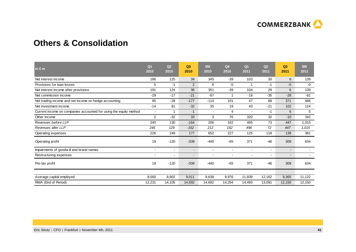

## **Others & Consolidation**

| $\ln \epsilon$ m                                                  | Q <sub>1</sub><br>2010 | Q2<br>2010               | Q <sub>3</sub><br>2010   | <b>9M</b><br>2010 | Q <sub>4</sub><br>2010   | Q <sub>1</sub><br>2011 | Q2<br>2011     | Q <sub>3</sub><br>2011   | <b>9M</b><br>2011 |
|-------------------------------------------------------------------|------------------------|--------------------------|--------------------------|-------------------|--------------------------|------------------------|----------------|--------------------------|-------------------|
| Net interest income                                               | 186                    | 125                      | 34                       | 345               | $-39$                    | 103                    | 30             | 6                        | 139               |
| Provisions for loan losses                                        | 5                      | $-1$                     | 2                        | 6                 | -0                       | 1                      | $-1$           | $-0$                     | -0                |
| Net interest income after provisions                              | 191                    | 124                      | 36                       | 351               | $-39$                    | 104                    | 29             | 6                        | 139               |
| Net commission income                                             | $-29$                  | $-17$                    | $-21$                    | $-67$             | -1                       | $-18$                  | $-35$          | $-28$                    | $-81$             |
| Net trading income and net income on hedge accounting             | 95                     | $-28$                    | $-177$                   | $-110$            | 101                      | 47                     | 68             | 371                      | 486               |
| Net investment income                                             | $-14$                  | 81                       | $-32$                    | 35                | 19                       | 43                     | $-21$          | 102                      | 124               |
| Current income on companies accounted for using the equity method | $\blacksquare$         | 1                        | $-1$                     |                   | $\overline{4}$           |                        | $-1$           | 6                        | 5                 |
| Other income                                                      | 2                      | $-32$                    | 33                       | 3                 | 76                       | 320                    | 32             | $-10$                    | 342               |
| Revenues before LLP                                               | 240                    | 130                      | $-164$                   | 206               | 162                      | 495                    | 73             | 447                      | 1,015             |
| Revenues after LLP                                                | 245                    | 129                      | $-162$                   | 212               | 162                      | 496                    | 72             | 447                      | 1,015             |
| Operating expenses                                                | 226                    | 249                      | 177                      | 652               | 227                      | 125                    | 118            | 138                      | 381               |
| Operating profit                                                  | 19                     | $-120$                   | $-339$                   | $-440$            | $-65$                    | 371                    | $-46$          | 309                      | 634               |
| Impairments of goodwill and brand names                           | ٠                      | $\overline{\phantom{a}}$ | $\overline{\phantom{a}}$ |                   | $\overline{\phantom{a}}$ |                        | $\blacksquare$ | $\overline{\phantom{a}}$ |                   |
| Restructuring expenses                                            |                        |                          | $\overline{\phantom{a}}$ |                   | ٠                        |                        | $\blacksquare$ | $\blacksquare$           |                   |
| Pre-tax profit                                                    | 19                     | $-120$                   | $-339$                   | $-440$            | $-65$                    | 371                    | $-46$          | 309                      | 634               |
| Average capital employed                                          | 8,000                  | 8,902                    | 9,011                    | 8,638             | 9,976                    | 11,839                 | 12,162         | 9,365                    | 11,122            |
| RWA (End of Period)                                               | 12,231                 | 14,105                   | 14,692                   | 14,692            | 14,294                   | 14,493                 | 13,091         | 12,150                   | 12,150            |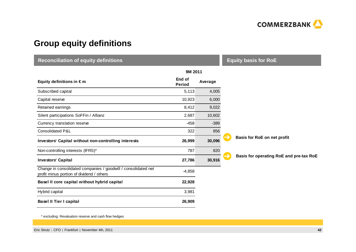

## **Group equity definitions**

| <b>Reconciliation of equity definitions</b>                                                                 | <b>Equity basis for RoE</b> |         |                                         |
|-------------------------------------------------------------------------------------------------------------|-----------------------------|---------|-----------------------------------------|
|                                                                                                             | 9M 2011                     |         |                                         |
| Equity definitions in $\epsilon$ m                                                                          | End of<br><b>Period</b>     | Average |                                         |
| Subscribed capital                                                                                          | 5,113                       | 4,005   |                                         |
| Capital reserve                                                                                             | 10,923                      | 6,000   |                                         |
| Retained earnings                                                                                           | 8,412                       | 9,022   |                                         |
| Silent participations SoFFin / Allianz                                                                      | 2,687                       | 10,602  |                                         |
| Currency translation reserve                                                                                | $-458$                      | $-389$  |                                         |
| Consolidated P&L                                                                                            | 322                         | 856     |                                         |
| Investors' Capital without non-controlling interests                                                        | 26,999                      | 30,096  | Basis for RoE on net profit             |
| Non-controlling interests (IFRS)*                                                                           | 787                         | 820     |                                         |
| <b>Investors' Capital</b>                                                                                   | 27,786                      | 30,916  | Basis for operating RoE and pre-tax RoE |
| Change in consolidated companies / goodwill / consolidated net<br>profit minus portion of dividend / others | $-4,858$                    |         |                                         |
| Basel II core capital without hybrid capital                                                                | 22,928                      |         |                                         |
| Hybrid capital                                                                                              | 3,981                       |         |                                         |
| <b>Basel II Tier I capital</b>                                                                              | 26,909                      |         |                                         |

\* excluding: Revaluation reserve and cash flow hedges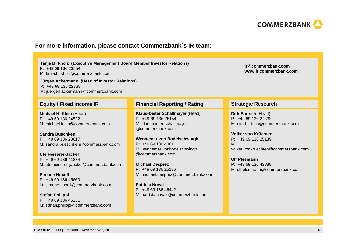

### **For more information, please contact Commerzbank´s IR team:**

| Tanja Birkholz (Executive Management Board Member Investor Relations)<br>P: +49 69 136 23854<br>M: tanja.birkholz@commerzbank.com<br>Jürgen Ackermann (Head of Investor Relations)<br>$P: +496913622338$<br>M: juergen.ackermann@commerzbank.com                                                                                                                                                                                      | ir@commerzbank.com<br>www.ir.commerzbank.com                                                                                                                                                                                                                                                                                                                                                     |                                                                                                                                                                                                                                                            |
|---------------------------------------------------------------------------------------------------------------------------------------------------------------------------------------------------------------------------------------------------------------------------------------------------------------------------------------------------------------------------------------------------------------------------------------|--------------------------------------------------------------------------------------------------------------------------------------------------------------------------------------------------------------------------------------------------------------------------------------------------------------------------------------------------------------------------------------------------|------------------------------------------------------------------------------------------------------------------------------------------------------------------------------------------------------------------------------------------------------------|
| <b>Equity / Fixed Income IR</b>                                                                                                                                                                                                                                                                                                                                                                                                       | <b>Financial Reporting / Rating</b>                                                                                                                                                                                                                                                                                                                                                              | <b>Strategic Research</b>                                                                                                                                                                                                                                  |
| Michael H. Klein (Head)<br>P: +49 69 136 24522<br>M: michael.klein@commerzbank.com<br>Sandra Büschken<br>P: +49 69 136 23617<br>M: sandra.bueschken@commerzbank.com<br>Ute Heiserer-Jäckel<br>P: +49 69 136 41874<br>M: ute.heiserer-jaeckel@commerzbank.com<br><b>Simone Nuxoll</b><br>$P: +496913645660$<br>M: simone.nuxoll@commerzbank.com<br><b>Stefan Philippi</b><br>P: +49 69 136 45231<br>M: stefan.philippi@commerzbank.com | Klaus-Dieter Schallmayer (Head)<br>$P: +49-69$ 136 25154<br>M: klaus-dieter.schallmayer<br>@commerzbank.com<br>Wennemar von Bodelschwingh<br>P: +49 69 136 43611<br>M: wennemar.vonbodelschwingh<br>@commerzbank.com<br><b>Michael Desprez</b><br>P: +49 69 136 25136<br>M: michael.desprez@commerzbank.com<br><b>Patricia Novak</b><br>P: +49 69 136 46442<br>M: patricia.novak@commerzbank.com | Dirk Bartsch (Head)<br>P: +49 69 136 2 2799<br>M: dirk.bartsch@commerzbank.com<br>Volker von Krüchten<br>P: +49 69 136 25139<br>M:<br>volker.vonkruechten@commerzbank.com<br><b>Ulf Plesmann</b><br>P: +49 69 136 43888<br>M: ulf.plesmann@commerzbank.com |